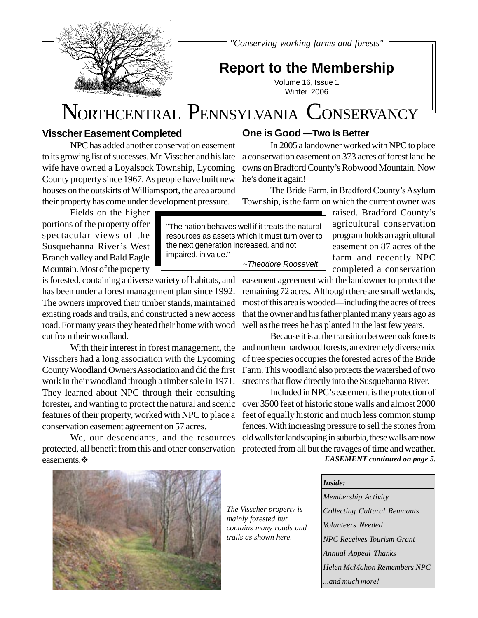

*"Conserving working farms and forests"*

# **Report to the Membership**

Volume 16, Issue 1 Winter 2006

# NORTHCENTRAL PENNSYLVANIA CONSERVANCY

## **Visscher Easement Completed**

NPC has added another conservation easement to its growing list of successes. Mr. Visscher and his late wife have owned a Loyalsock Township, Lycoming County property since 1967. As people have built new houses on the outskirts of Williamsport, the area around their property has come under development pressure.

Fields on the higher portions of the property offer spectacular views of the Susquehanna River's West Branch valley and Bald Eagle Mountain. Most of the property

is forested, containing a diverse variety of habitats, and has been under a forest management plan since 1992. The owners improved their timber stands, maintained existing roads and trails, and constructed a new access road. For many years they heated their home with wood cut from their woodland.

With their interest in forest management, the Visschers had a long association with the Lycoming County Woodland Owners Association and did the first work in their woodland through a timber sale in 1971. They learned about NPC through their consulting forester, and wanting to protect the natural and scenic features of their property, worked with NPC to place a conservation easement agreement on 57 acres.

We, our descendants, and the resources protected, all benefit from this and other conservation easements.  $\mathbf{\hat{P}}$ 

# **One is Good —Two is Better**

In 2005 a landowner worked with NPC to place a conservation easement on 373 acres of forest land he owns on Bradford County's Robwood Mountain. Now he's done it again!

The Bride Farm, in Bradford County's Asylum Township, is the farm on which the current owner was

> raised. Bradford County's agricultural conservation program holds an agricultural easement on 87 acres of the farm and recently NPC completed a conservation

resources as assets which it must turn over to the next generation increased, and not impaired, in value." ~Theodore Roosevelt

"The nation behaves well if it treats the natural

easement agreement with the landowner to protect the remaining 72 acres. Although there are small wetlands, most of this area is wooded—including the acres of trees that the owner and his father planted many years ago as well as the trees he has planted in the last few years.

Because it is at the transition between oak forests and northern hardwood forests, an extremely diverse mix of tree species occupies the forested acres of the Bride Farm. This woodland also protects the watershed of two streams that flow directly into the Susquehanna River.

Included in NPC's easement is the protection of over 3500 feet of historic stone walls and almost 2000 feet of equally historic and much less common stump fences. With increasing pressure to sell the stones from old walls for landscaping in suburbia, these walls are now protected from all but the ravages of time and weather.

*EASEMENT continued on page 5.*



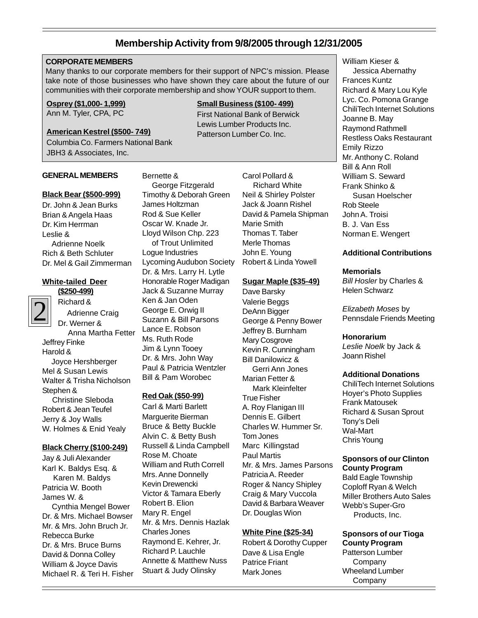# **Membership Activity from 9/8/2005 through 12/31/2005**

#### **CORPORATE MEMBERS**

Many thanks to our corporate members for their support of NPC's mission. Please take note of those businesses who have shown they care about the future of our communities with their corporate membership and show YOUR support to them.

Bernette &

James Holtzman Rod & Sue Keller Oscar W. Knade Jr. Lloyd Wilson Chp. 223 of Trout Unlimited

Logue Industries

Ken & Jan Oden George E. Orwig II Suzann & Bill Parsons Lance E. Robson Ms. Ruth Rode Jim & Lynn Tooey Dr. & Mrs. John Way Paul & Patricia Wentzler Bill & Pam Worobec

**Red Oak (\$50-99)** Carl & Marti Barlett Marguerite Bierman Bruce & Betty Buckle Alvin C. & Betty Bush Russell & Linda Campbell

Rose M. Choate

Robert B. Elion Mary R. Engel

Charles Jones

William and Ruth Correll Mrs. Anne Donnelly Kevin Drewencki Victor & Tamara Eberly

Mr. & Mrs. Dennis Hazlak

Raymond E. Kehrer, Jr. Richard P. Lauchle Annette & Matthew Nuss Stuart & Judy Olinsky

Lycoming Audubon Society Dr. & Mrs. Larry H. Lytle Honorable Roger Madigan Jack & Suzanne Murray

 George Fitzgerald Timothy & Deborah Green

#### **Osprey (\$1,000- 1,999)**

Ann M. Tyler, CPA, PC

#### **American Kestrel (\$500- 749)**

Columbia Co. Farmers National Bank JBH3 & Associates, Inc.

#### **GENERAL MEMBERS**

#### **Black Bear (\$500-999)**

Dr. John & Jean Burks Brian & Angela Haas Dr. Kim Herrman Leslie & Adrienne Noelk Rich & Beth Schluter Dr. Mel & Gail Zimmerman

#### **White-tailed Deer (\$250-499)**



Richard & Adrienne Craig Dr. Werner & Anna Martha Fetter Jeffrey Finke Harold & Joyce Hershberger Mel & Susan Lewis Walter & Trisha Nicholson Stephen & Christine Sleboda Robert & Jean Teufel Jerry & Joy Walls W. Holmes & Enid Yealy

#### **Black Cherry (\$100-249)**

Jay & Juli Alexander Karl K. Baldys Esq. & Karen M. Baldys Patricia W. Booth James W. & Cynthia Mengel Bower Dr. & Mrs. Michael Bowser Mr. & Mrs. John Bruch Jr. Rebecca Burke Dr. & Mrs. Bruce Burns David & Donna Colley William & Joyce Davis Michael R. & Teri H. Fisher

#### **Small Business (\$100- 499)**

First National Bank of Berwick Lewis Lumber Products Inc. Patterson Lumber Co. Inc.

> Carol Pollard & Richard White Neil & Shirley Polster Jack & Joann Rishel David & Pamela Shipman Marie Smith Thomas T. Taber Merle Thomas John E. Young Robert & Linda Yowell

#### **Sugar Maple (\$35-49)**

Dave Barsky Valerie Beggs DeAnn Bigger George & Penny Bower Jeffrey B. Burnham Mary Cosgrove Kevin R. Cunningham Bill Danilowicz & Gerri Ann Jones Marian Fetter & Mark Kleinfelter True Fisher A. Roy Flanigan III Dennis E. Gilbert Charles W. Hummer Sr. Tom Jones Marc Killingstad Paul Martis Mr. & Mrs. James Parsons Patricia A. Reeder Roger & Nancy Shipley Craig & Mary Vuccola David & Barbara Weaver Dr. Douglas Wion

#### **White Pine (\$25-34)**

Robert & Dorothy Cupper Dave & Lisa Engle Patrice Friant Mark Jones

William Kieser & Jessica Abernathy Frances Kuntz Richard & Mary Lou Kyle Lyc. Co. Pomona Grange ChiliTech Internet Solutions Joanne B. May Raymond Rathmell Restless Oaks Restaurant Emily Rizzo Mr. Anthony C. Roland Bill & Ann Roll William S. Seward Frank Shinko & Susan Hoelscher Rob Steele John A. Troisi B. J. Van Ess Norman E. Wengert

#### **Additional Contributions**

#### **Memorials**

Bill Hosler by Charles & Helen Schwarz

Elizabeth Moses by Pennsdale Friends Meeting

#### **Honorarium**

Leslie Noelk by Jack & Joann Rishel

#### **Additional Donations**

ChiliTech Internet Solutions Hoyer's Photo Supplies Frank Matousek Richard & Susan Sprout Tony's Deli Wal-Mart Chris Young

#### **Sponsors of our Clinton County Program**

Bald Eagle Township Coploff Ryan & Welch Miller Brothers Auto Sales Webb's Super-Gro Products, Inc.

#### **Sponsors of our Tioga County Program**

Patterson Lumber **Company** Wheeland Lumber Company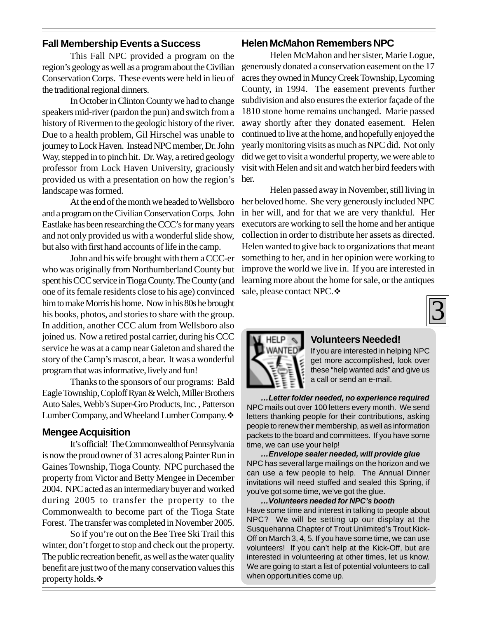# **Fall Membership Events a Success**

This Fall NPC provided a program on the region's geology as well as a program about the Civilian Conservation Corps. These events were held in lieu of the traditional regional dinners.

In October in Clinton County we had to change speakers mid-river (pardon the pun) and switch from a history of Rivermen to the geologic history of the river. Due to a health problem, Gil Hirschel was unable to journey to Lock Haven. Instead NPC member, Dr. John Way, stepped in to pinch hit. Dr. Way, a retired geology professor from Lock Haven University, graciously provided us with a presentation on how the region's landscape was formed.

At the end of the month we headed to Wellsboro and a program on the Civilian Conservation Corps. John Eastlake has been researching the CCC's for many years and not only provided us with a wonderful slide show, but also with first hand accounts of life in the camp.

John and his wife brought with them a CCC-er who was originally from Northumberland County but spent his CCC service in Tioga County. The County (and one of its female residents close to his age) convinced him to make Morris his home. Now in his 80s he brought his books, photos, and stories to share with the group. In addition, another CCC alum from Wellsboro also joined us. Now a retired postal carrier, during his CCC service he was at a camp near Galeton and shared the story of the Camp's mascot, a bear. It was a wonderful program that was informative, lively and fun!

Thanks to the sponsors of our programs: Bald Eagle Township, Coploff Ryan & Welch, Miller Brothers Auto Sales, Webb's Super-Gro Products, Inc. , Patterson Lumber Company, and Wheeland Lumber Company.  $\cdot$ 

#### **Mengee Acquisition**

It's official! The Commonwealth of Pennsylvania is now the proud owner of 31 acres along Painter Run in Gaines Township, Tioga County. NPC purchased the property from Victor and Betty Mengee in December 2004. NPC acted as an intermediary buyer and worked during 2005 to transfer the property to the Commonwealth to become part of the Tioga State Forest. The transfer was completed in November 2005.

So if you're out on the Bee Tree Ski Trail this winter, don't forget to stop and check out the property. The public recreation benefit, as well as the water quality benefit are just two of the many conservation values this property holds. $\clubsuit$ 

### **Helen McMahon Remembers NPC**

Helen McMahon and her sister, Marie Logue, generously donated a conservation easement on the 17 acres they owned in Muncy Creek Township, Lycoming County, in 1994. The easement prevents further subdivision and also ensures the exterior façade of the 1810 stone home remains unchanged. Marie passed away shortly after they donated easement. Helen continued to live at the home, and hopefully enjoyed the yearly monitoring visits as much as NPC did. Not only did we get to visit a wonderful property, we were able to visit with Helen and sit and watch her bird feeders with her.

Helen passed away in November, still living in her beloved home. She very generously included NPC in her will, and for that we are very thankful. Her executors are working to sell the home and her antique collection in order to distribute her assets as directed. Helen wanted to give back to organizations that meant something to her, and in her opinion were working to improve the world we live in. If you are interested in learning more about the home for sale, or the antiques sale, please contact NPC.





#### **Volunteers Needed!**

If you are interested in helping NPC get more accomplished, look over these "help wanted ads" and give us a call or send an e-mail.

**…Letter folder needed, no experience required** NPC mails out over 100 letters every month. We send letters thanking people for their contributions, asking people to renew their membership, as well as information packets to the board and committees. If you have some time, we can use your help!

**…Envelope sealer needed, will provide glue** NPC has several large mailings on the horizon and we can use a few people to help. The Annual Dinner invitations will need stuffed and sealed this Spring, if you've got some time, we've got the glue.

**…Volunteers needed for NPC's booth** Have some time and interest in talking to people about NPC? We will be setting up our display at the Susquehanna Chapter of Trout Unlimited's Trout Kick-Off on March 3, 4, 5. If you have some time, we can use volunteers! If you can't help at the Kick-Off, but are interested in volunteering at other times, let us know. We are going to start a list of potential volunteers to call when opportunities come up.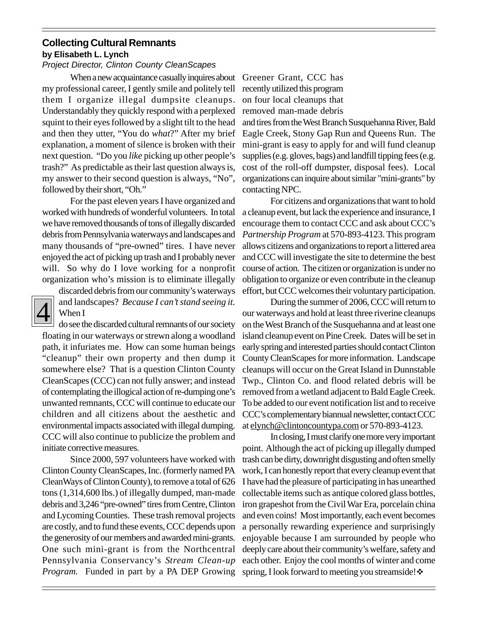# **Collecting Cultural Remnants by Elisabeth L. Lynch**

### Project Director, Clinton County CleanScapes

When a new acquaintance casually inquires about Greener Grant, CCC has my professional career, I gently smile and politely tell them I organize illegal dumpsite cleanups. Understandably they quickly respond with a perplexed squint to their eyes followed by a slight tilt to the head and then they utter, "You do *what*?" After my brief explanation, a moment of silence is broken with their next question. "Do you *like* picking up other people's trash?" As predictable as their last question always is, my answer to their second question is always, "No", followed by their short, "Oh."

For the past eleven years I have organized and worked with hundreds of wonderful volunteers. In total we have removed thousands of tons of illegally discarded debris from Pennsylvania waterways and landscapes and many thousands of "pre-owned" tires. I have never enjoyed the act of picking up trash and I probably never will. So why do I love working for a nonprofit organization who's mission is to eliminate illegally

# 4

discarded debris from our community's waterways and landscapes? *Because I can't stand seeing it.* When I

do see the discarded cultural remnants of our society floating in our waterways or strewn along a woodland path, it infuriates me. How can some human beings "cleanup" their own property and then dump it somewhere else? That is a question Clinton County CleanScapes (CCC) can not fully answer; and instead of contemplating the illogical action of re-dumping one's unwanted remnants, CCC will continue to educate our children and all citizens about the aesthetic and environmental impacts associated with illegal dumping. CCC will also continue to publicize the problem and initiate corrective measures.

Since 2000, 597 volunteers have worked with Clinton County CleanScapes, Inc. (formerly named PA CleanWays of Clinton County), to remove a total of 626 tons (1,314,600 lbs.) of illegally dumped, man-made debris and 3,246 "pre-owned" tires from Centre, Clinton and Lycoming Counties. These trash removal projects are costly, and to fund these events, CCC depends upon the generosity of our members and awarded mini-grants. One such mini-grant is from the Northcentral Pennsylvania Conservancy's *Stream Clean-up Program.* Funded in part by a PA DEP Growing spring, I look forward to meeting you streamside!

recently utilized this program on four local cleanups that removed man-made debris

and tires from the West Branch Susquehanna River, Bald Eagle Creek, Stony Gap Run and Queens Run. The mini-grant is easy to apply for and will fund cleanup supplies (e.g. gloves, bags) and landfill tipping fees (e.g. cost of the roll-off dumpster, disposal fees). Local organizations can inquire about similar "mini-grants" by contacting NPC.

For citizens and organizations that want to hold a cleanup event, but lack the experience and insurance, I encourage them to contact CCC and ask about CCC's *Partnership Program* at 570-893-4123. This program allows citizens and organizations to report a littered area and CCC will investigate the site to determine the best course of action. The citizen or organization is under no obligation to organize or even contribute in the cleanup effort, but CCC welcomes their voluntary participation.

During the summer of 2006, CCC will return to our waterways and hold at least three riverine cleanups on the West Branch of the Susquehanna and at least one island cleanup event on Pine Creek. Dates will be set in early spring and interested parties should contact Clinton County CleanScapes for more information. Landscape cleanups will occur on the Great Island in Dunnstable Twp., Clinton Co. and flood related debris will be removed from a wetland adjacent to Bald Eagle Creek. To be added to our event notification list and to receive CCC's complementary biannual newsletter, contact CCC at elynch@clintoncountypa.com or 570-893-4123.

In closing, I must clarify one more very important point. Although the act of picking up illegally dumped trash can be dirty, downright disgusting and often smelly work, I can honestly report that every cleanup event that I have had the pleasure of participating in has unearthed collectable items such as antique colored glass bottles, iron grapeshot from the Civil War Era, porcelain china and even coins! Most importantly, each event becomes a personally rewarding experience and surprisingly enjoyable because I am surrounded by people who deeply care about their community's welfare, safety and each other. Enjoy the cool months of winter and come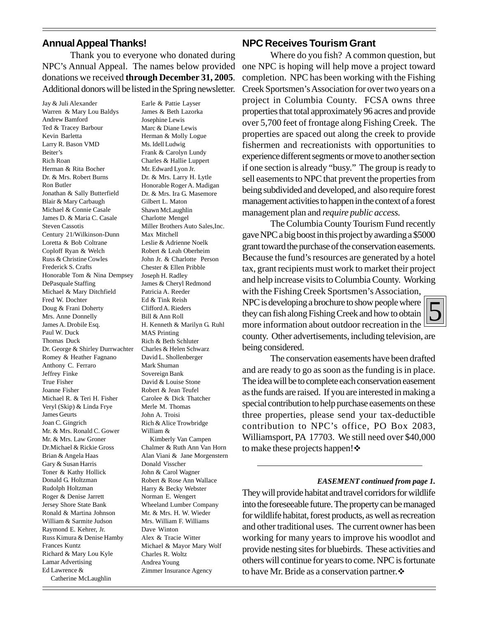#### **Annual Appeal Thanks!**

Thank you to everyone who donated during NPC's Annual Appeal. The names below provided donations we received **through December 31, 2005**. Additional donors will be listed in the Spring newsletter.

Jay & Juli Alexander Warren & Mary Lou Baldys Andrew Bamford Ted & Tracey Barbour Kevin Barletta Larry R. Bason VMD Beiter's Rich Roan Herman & Rita Bocher Dr. & Mrs. Robert Burns Ron Butler Jonathan & Sally Butterfield Blair & Mary Carbaugh Michael & Connie Casale James D. & Maria C. Casale Steven Cassotis Century 21/Wilkinson-Dunn Loretta & Bob Coltrane Coploff Ryan & Welch Russ & Christine Cowles Frederick S. Crafts Honorable Tom & Nina Dempsey DePasquale Staffing Michael & Mary Ditchfield Fred W. Dochter Doug & Frani Doherty Mrs. Anne Donnelly James A. Drobile Esq. Paul W. Duck Thomas Duck Dr. George & Shirley Durrwachter Romey & Heather Fagnano Anthony C. Ferraro Jeffrey Finke True Fisher Joanne Fisher Michael R. & Teri H. Fisher Veryl (Skip) & Linda Frye James Geurts Joan C. Gingrich Mr. & Mrs. Ronald C. Gower Mr. & Mrs. Law Groner Dr.Michael & Rickie Gross Brian & Angela Haas Gary & Susan Harris Toner & Kathy Hollick Donald G. Holtzman Rudolph Holtzman Roger & Denise Jarrett Jersey Shore State Bank Ronald & Martina Johnson William & Sarmite Judson Raymond E. Kehrer, Jr. Russ Kimura & Denise Hamby Frances Kuntz Richard & Mary Lou Kyle Lamar Advertising Ed Lawrence & Catherine McLaughlin

Earle & Pattie Layser James & Beth Lazorka Josephine Lewis Marc & Diane Lewis Herman & Molly Logue Ms. Idell Ludwig Frank & Carolyn Lundy Charles & Hallie Luppert Mr. Edward Lyon Jr. Dr. & Mrs. Larry H. Lytle Honorable Roger A. Madigan Dr. & Mrs. Ira G. Masemore Gilbert L. Maton Shawn McLaughlin Charlotte Mengel Miller Brothers Auto Sales,Inc. Max Mitchell Leslie & Adrienne Noelk Robert & Leah Oberheim John Jr. & Charlotte Person Chester & Ellen Pribble Joseph H. Radley James & Cheryl Redmond Patricia A. Reeder Ed & Tink Reish Clifford A. Rieders Bill & Ann Roll H. Kenneth & Marilyn G. Ruhl MAS Printing Rich & Beth Schluter Charles & Helen Schwarz David L. Shollenberger Mark Shuman Sovereign Bank David & Louise Stone Robert & Jean Teufel Carolee & Dick Thatcher Merle M. Thomas John A. Troisi Rich & Alice Trowbridge William & Kimberly Van Campen Chalmer & Ruth Ann Van Horn Alan Viani & Jane Morgenstern Donald Visscher John & Carol Wagner Robert & Rose Ann Wallace Harry & Becky Webster Norman E. Wengert Wheeland Lumber Company Mr. & Mrs. H. W. Wieder Mrs. William F. Williams Dave Winton Alex & Tracie Witter Michael & Mayor Mary Wolf Charles R. Woltz Andrea Young Zimmer Insurance Agency

#### **NPC Receives Tourism Grant**

Where do you fish? A common question, but one NPC is hoping will help move a project toward completion. NPC has been working with the Fishing Creek Sportsmen's Association for over two years on a project in Columbia County. FCSA owns three properties that total approximately 96 acres and provide over 5,700 feet of frontage along Fishing Creek. The properties are spaced out along the creek to provide fishermen and recreationists with opportunities to experience different segments or move to another section if one section is already "busy." The group is ready to sell easements to NPC that prevent the properties from being subdivided and developed, and also require forest management activities to happen in the context of a forest management plan and *require public access.*

The Columbia County Tourism Fund recently gave NPC a big boost in this project by awarding a \$5000 grant toward the purchase of the conservation easements. Because the fund's resources are generated by a hotel tax, grant recipients must work to market their project and help increase visits to Columbia County. Working with the Fishing Creek Sportsmen's Association,

NPC is developing a brochure to show people where they can fish along Fishing Creek and how to obtain more information about outdoor recreation in the county. Other advertisements, including television, are being considered.

The conservation easements have been drafted and are ready to go as soon as the funding is in place. The idea will be to complete each conservation easement as the funds are raised. If you are interested in making a special contribution to help purchase easements on these three properties, please send your tax-deductible contribution to NPC's office, PO Box 2083, Williamsport, PA 17703. We still need over \$40,000 to make these projects happen! $\cdot$ 

#### *EASEMENT continued from page 1.*

They will provide habitat and travel corridors for wildlife into the foreseeable future. The property can be managed for wildlife habitat, forest products, as well as recreation and other traditional uses. The current owner has been working for many years to improve his woodlot and provide nesting sites for bluebirds. These activities and others will continue for years to come. NPC is fortunate to have Mr. Bride as a conservation partner.  $\cdot$